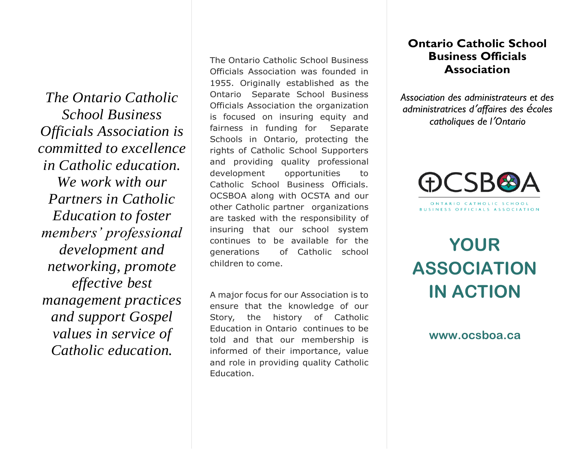*The Ontario Catholic School Business Officials Association is committed to excellence in Catholic education. We work with our Partners in Catholic Education to foster members' professional development and networking, promote effective best management practices and support Gospel values in service of Catholic education.*

The Ontario Catholic School Business Officials Association was founded in 1955. Originally established as the Ontario Separate School Business Officials Association the organization is focused on insuring equity and fairness in funding for Separate Schools in Ontario, protecting the rights of Catholic School Supporters and providing quality professional development opportunities to Catholic School Business Officials. OCSBOA along with OCSTA and our other Catholic partner organizations are tasked with the responsibility of insuring that our school system continues to be available for the generations of Catholic school children to come.

A major focus for our Association is to ensure that the knowledge of our Story, the history of Catholic Education in Ontario continues to be told and that our membership is informed of their importance, value and role in providing quality Catholic Education.

### **Ontario Catholic School Business Officials Association**

*Association des administrateurs et des administratrices d'affaires des écoles catholiques de l'Ontario*



# **YOUR ASSOCIATION IN ACTION**

**www.ocsboa.ca**